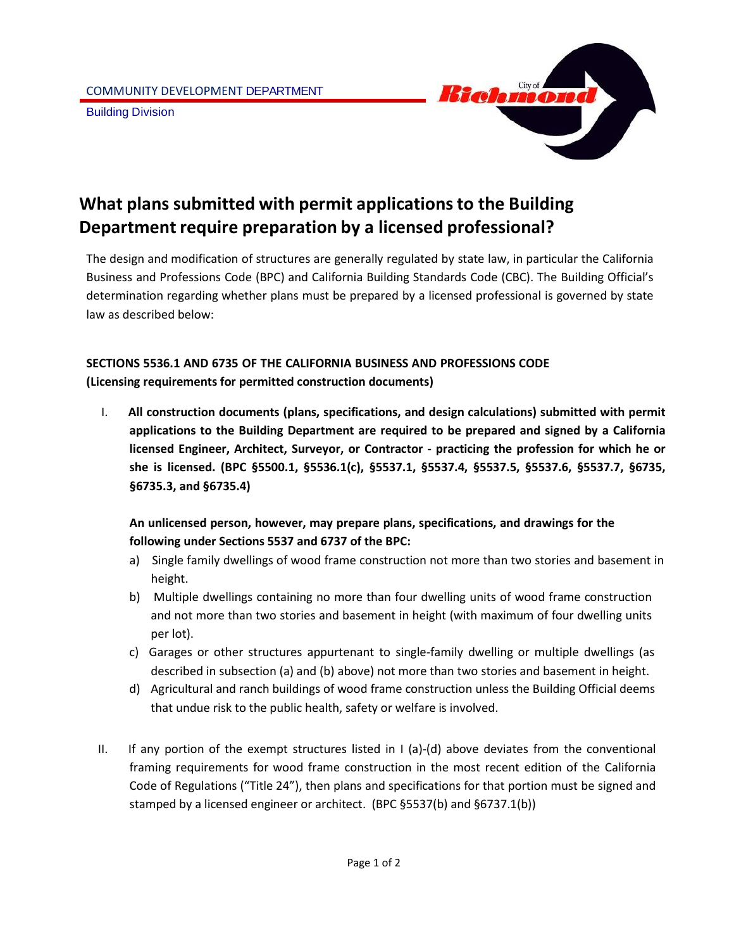

# **What plans submitted with permit applicationsto the Building Department require preparation by a licensed professional?**

The design and modification of structures are generally regulated by state law, in particular the California Business and Professions Code (BPC) and California Building Standards Code (CBC). The Building Official's determination regarding whether plans must be prepared by a licensed professional is governed by state law as described below:

# **SECTIONS 5536.1 AND 6735 OF THE CALIFORNIA BUSINESS AND PROFESSIONS CODE (Licensing requirements for permitted construction documents)**

I. **All construction documents (plans, specifications, and design calculations) submitted with permit applications to the Building Department are required to be prepared and signed by a California licensed Engineer, Architect, Surveyor, or Contractor - practicing the profession for which he or she is licensed. (BPC §5500.1, §5536.1(c), §5537.1, §5537.4, §5537.5, §5537.6, §5537.7, §6735, §6735.3, and §6735.4)**

## **An unlicensed person, however, may prepare plans, specifications, and drawings for the following under Sections 5537 and 6737 of the BPC:**

- a) Single family dwellings of wood frame construction not more than two stories and basement in height.
- b) Multiple dwellings containing no more than four dwelling units of wood frame construction and not more than two stories and basement in height (with maximum of four dwelling units per lot).
- c) Garages or other structures appurtenant to single-family dwelling or multiple dwellings (as described in subsection (a) and (b) above) not more than two stories and basement in height.
- d) Agricultural and ranch buildings of wood frame construction unless the Building Official deems that undue risk to the public health, safety or welfare is involved.
- II. If any portion of the exempt structures listed in I (a)-(d) above deviates from the conventional framing requirements for wood frame construction in the most recent edition of the California Code of Regulations ("Title 24"), then plans and specifications for that portion must be signed and stamped by a licensed engineer or architect. (BPC §5537(b) and §6737.1(b))